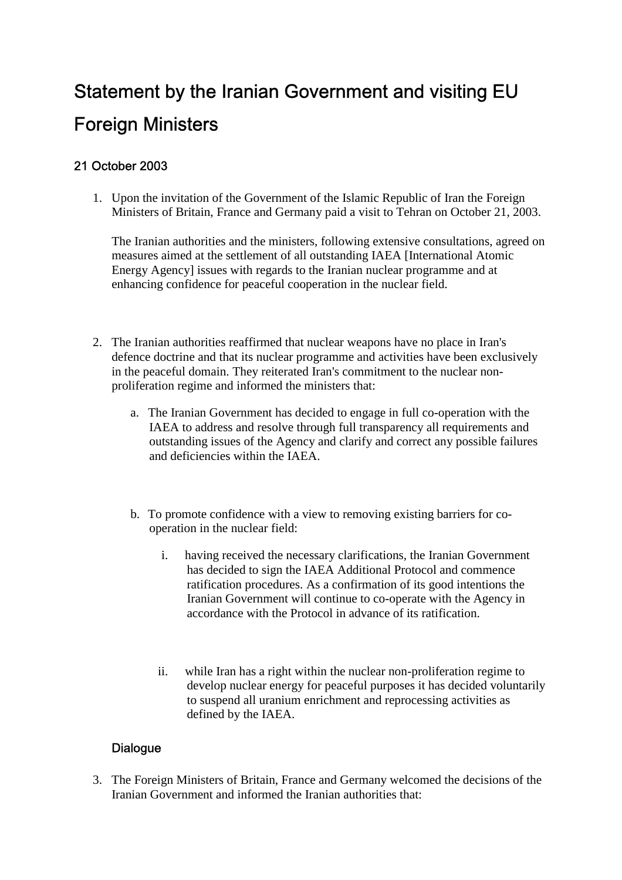## Statement by the Iranian Government and visiting EU Foreign Ministers

## 21 October 2003

1. Upon the invitation of the Government of the Islamic Republic of Iran the Foreign Ministers of Britain, France and Germany paid a visit to Tehran on October 21, 2003.

The Iranian authorities and the ministers, following extensive consultations, agreed on measures aimed at the settlement of all outstanding IAEA [International Atomic Energy Agency] issues with regards to the Iranian nuclear programme and at enhancing confidence for peaceful cooperation in the nuclear field.

- 2. The Iranian authorities reaffirmed that nuclear weapons have no place in Iran's defence doctrine and that its nuclear programme and activities have been exclusively in the peaceful domain. They reiterated Iran's commitment to the nuclear nonproliferation regime and informed the ministers that:
	- a. The Iranian Government has decided to engage in full co-operation with the IAEA to address and resolve through full transparency all requirements and outstanding issues of the Agency and clarify and correct any possible failures and deficiencies within the IAEA.
	- b. To promote confidence with a view to removing existing barriers for cooperation in the nuclear field:
		- i. having received the necessary clarifications, the Iranian Government has decided to sign the IAEA Additional Protocol and commence ratification procedures. As a confirmation of its good intentions the Iranian Government will continue to co-operate with the Agency in accordance with the Protocol in advance of its ratification.
		- ii. while Iran has a right within the nuclear non-proliferation regime to develop nuclear energy for peaceful purposes it has decided voluntarily to suspend all uranium enrichment and reprocessing activities as defined by the IAEA.

## **Dialogue**

3. The Foreign Ministers of Britain, France and Germany welcomed the decisions of the Iranian Government and informed the Iranian authorities that: